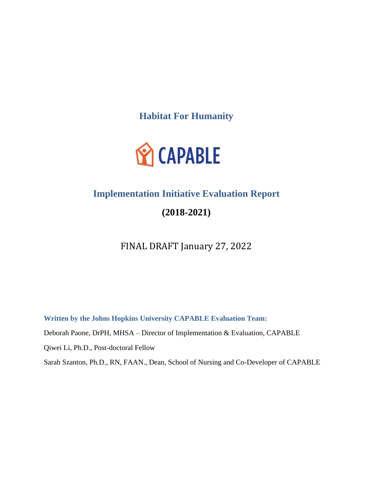**Habitat For Humanity** 



# **Implementation Initiative Evaluation Report**

**(2018-2021)**

FINAL DRAFT January 27, 2022

**Written by the Johns Hopkins University CAPABLE Evaluation Team:** Deborah Paone, DrPH, MHSA – Director of Implementation & Evaluation, CAPABLE Qiwei Li, Ph.D., Post-doctoral Fellow Sarah Szanton, Ph.D., RN, FAAN., Dean, School of Nursing and Co-Developer of CAPABLE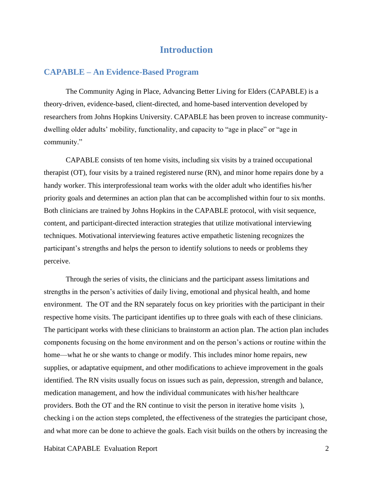# **Introduction**

# **CAPABLE – An Evidence-Based Program**

The Community Aging in Place, Advancing Better Living for Elders (CAPABLE) is a theory-driven, evidence-based, client-directed, and home-based intervention developed by researchers from Johns Hopkins University. CAPABLE has been proven to increase communitydwelling older adults' mobility, functionality, and capacity to "age in place" or "age in community."

CAPABLE consists of ten home visits, including six visits by a trained occupational therapist (OT), four visits by a trained registered nurse (RN), and minor home repairs done by a handy worker. This interprofessional team works with the older adult who identifies his/her priority goals and determines an action plan that can be accomplished within four to six months. Both clinicians are trained by Johns Hopkins in the CAPABLE protocol, with visit sequence, content, and participant-directed interaction strategies that utilize motivational interviewing techniques. Motivational interviewing features active empathetic listening recognizes the participant's strengths and helps the person to identify solutions to needs or problems they perceive.

Through the series of visits, the clinicians and the participant assess limitations and strengths in the person's activities of daily living, emotional and physical health, and home environment. The OT and the RN separately focus on key priorities with the participant in their respective home visits. The participant identifies up to three goals with each of these clinicians. The participant works with these clinicians to brainstorm an action plan. The action plan includes components focusing on the home environment and on the person's actions or routine within the home—what he or she wants to change or modify. This includes minor home repairs, new supplies, or adaptative equipment, and other modifications to achieve improvement in the goals identified. The RN visits usually focus on issues such as pain, depression, strength and balance, medication management, and how the individual communicates with his/her healthcare providers. Both the OT and the RN continue to visit the person in iterative home visits ), checking i on the action steps completed, the effectiveness of the strategies the participant chose, and what more can be done to achieve the goals. Each visit builds on the others by increasing the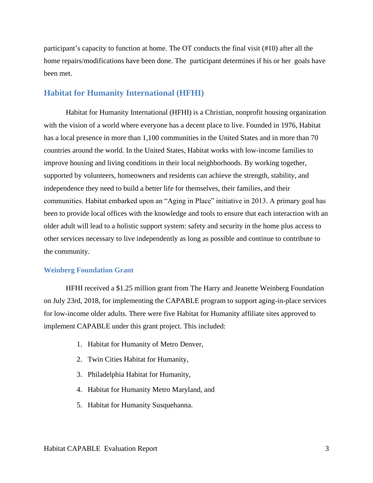participant's capacity to function at home. The OT conducts the final visit (#10) after all the home repairs/modifications have been done. The participant determines if his or her goals have been met.

# **Habitat for Humanity International (HFHI)**

Habitat for Humanity International (HFHI) is a Christian, nonprofit housing organization with the vision of a world where everyone has a decent place to live. Founded in 1976, Habitat has a local presence in more than 1,100 communities in the United States and in more than 70 countries around the world. In the United States, Habitat works with low-income families to improve housing and living conditions in their local neighborhoods. By working together, supported by volunteers, homeowners and residents can achieve the strength, stability, and independence they need to build a better life for themselves, their families, and their communities. Habitat embarked upon an "Aging in Place" initiative in 2013. A primary goal has been to provide local offices with the knowledge and tools to ensure that each interaction with an older adult will lead to a holistic support system: safety and security in the home plus access to other services necessary to live independently as long as possible and continue to contribute to the community.

#### **Weinberg Foundation Grant**

HFHI received a \$1.25 million grant from The Harry and Jeanette Weinberg Foundation on July 23rd, 2018, for implementing the CAPABLE program to support aging-in-place services for low-income older adults. There were five Habitat for Humanity affiliate sites approved to implement CAPABLE under this grant project. This included:

- 1. Habitat for Humanity of Metro Denver,
- 2. Twin Cities Habitat for Humanity,
- 3. Philadelphia Habitat for Humanity,
- 4. Habitat for Humanity Metro Maryland, and
- 5. Habitat for Humanity Susquehanna.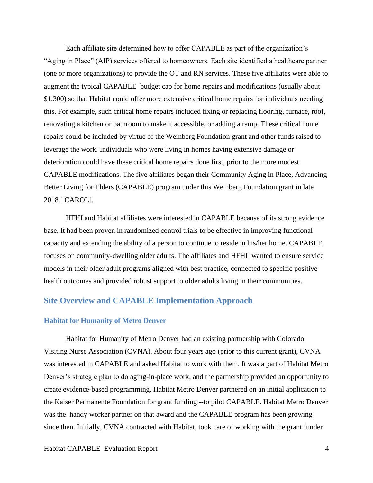Each affiliate site determined how to offer CAPABLE as part of the organization's "Aging in Place" (AIP) services offered to homeowners. Each site identified a healthcare partner (one or more organizations) to provide the OT and RN services. These five affiliates were able to augment the typical CAPABLE budget cap for home repairs and modifications (usually about \$1,300) so that Habitat could offer more extensive critical home repairs for individuals needing this. For example, such critical home repairs included fixing or replacing flooring, furnace, roof, renovating a kitchen or bathroom to make it accessible, or adding a ramp. These critical home repairs could be included by virtue of the Weinberg Foundation grant and other funds raised to leverage the work. Individuals who were living in homes having extensive damage or deterioration could have these critical home repairs done first, prior to the more modest CAPABLE modifications. The five affiliates began their Community Aging in Place, Advancing Better Living for Elders (CAPABLE) program under this Weinberg Foundation grant in late 2018.[ CAROL].

HFHI and Habitat affiliates were interested in CAPABLE because of its strong evidence base. It had been proven in randomized control trials to be effective in improving functional capacity and extending the ability of a person to continue to reside in his/her home. CAPABLE focuses on community-dwelling older adults. The affiliates and HFHI wanted to ensure service models in their older adult programs aligned with best practice, connected to specific positive health outcomes and provided robust support to older adults living in their communities.

# **Site Overview and CAPABLE Implementation Approach**

#### **Habitat for Humanity of Metro Denver**

Habitat for Humanity of Metro Denver had an existing partnership with Colorado Visiting Nurse Association (CVNA). About four years ago (prior to this current grant), CVNA was interested in CAPABLE and asked Habitat to work with them. It was a part of Habitat Metro Denver's strategic plan to do aging-in-place work, and the partnership provided an opportunity to create evidence-based programming. Habitat Metro Denver partnered on an initial application to the Kaiser Permanente Foundation for grant funding --to pilot CAPABLE. Habitat Metro Denver was the handy worker partner on that award and the CAPABLE program has been growing since then. Initially, CVNA contracted with Habitat, took care of working with the grant funder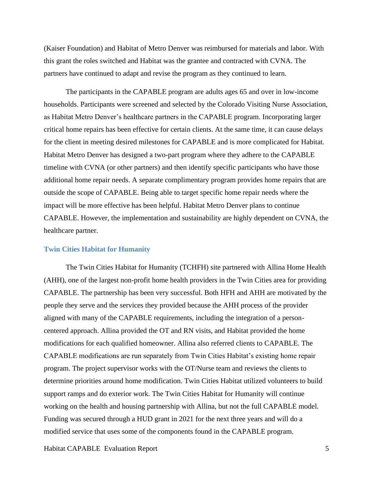(Kaiser Foundation) and Habitat of Metro Denver was reimbursed for materials and labor. With this grant the roles switched and Habitat was the grantee and contracted with CVNA. The partners have continued to adapt and revise the program as they continued to learn.

The participants in the CAPABLE program are adults ages 65 and over in low-income households. Participants were screened and selected by the Colorado Visiting Nurse Association, as Habitat Metro Denver's healthcare partners in the CAPABLE program. Incorporating larger critical home repairs has been effective for certain clients. At the same time, it can cause delays for the client in meeting desired milestones for CAPABLE and is more complicated for Habitat. Habitat Metro Denver has designed a two-part program where they adhere to the CAPABLE timeline with CVNA (or other partners) and then identify specific participants who have those additional home repair needs. A separate complimentary program provides home repairs that are outside the scope of CAPABLE. Being able to target specific home repair needs where the impact will be more effective has been helpful. Habitat Metro Denver plans to continue CAPABLE. However, the implementation and sustainability are highly dependent on CVNA, the healthcare partner.

#### **Twin Cities Habitat for Humanity**

The Twin Cities Habitat for Humanity (TCHFH) site partnered with Allina Home Health (AHH), one of the largest non-profit home health providers in the Twin Cities area for providing CAPABLE. The partnership has been very successful. Both HFH and AHH are motivated by the people they serve and the services they provided because the AHH process of the provider aligned with many of the CAPABLE requirements, including the integration of a personcentered approach. Allina provided the OT and RN visits, and Habitat provided the home modifications for each qualified homeowner. Allina also referred clients to CAPABLE. The CAPABLE modifications are run separately from Twin Cities Habitat's existing home repair program. The project supervisor works with the OT/Nurse team and reviews the clients to determine priorities around home modification. Twin Cities Habitat utilized volunteers to build support ramps and do exterior work. The Twin Cities Habitat for Humanity will continue working on the health and housing partnership with Allina, but not the full CAPABLE model. Funding was secured through a HUD grant in 2021 for the next three years and will do a modified service that uses some of the components found in the CAPABLE program.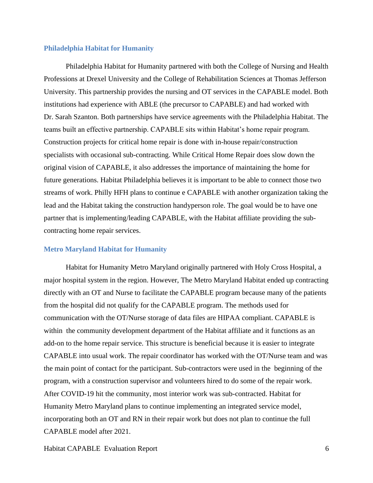#### **Philadelphia Habitat for Humanity**

Philadelphia Habitat for Humanity partnered with both the College of Nursing and Health Professions at Drexel University and the College of Rehabilitation Sciences at Thomas Jefferson University. This partnership provides the nursing and OT services in the CAPABLE model. Both institutions had experience with ABLE (the precursor to CAPABLE) and had worked with Dr. Sarah Szanton. Both partnerships have service agreements with the Philadelphia Habitat. The teams built an effective partnership. CAPABLE sits within Habitat's home repair program. Construction projects for critical home repair is done with in-house repair/construction specialists with occasional sub-contracting. While Critical Home Repair does slow down the original vision of CAPABLE, it also addresses the importance of maintaining the home for future generations. Habitat Philadelphia believes it is important to be able to connect those two streams of work. Philly HFH plans to continue e CAPABLE with another organization taking the lead and the Habitat taking the construction handyperson role. The goal would be to have one partner that is implementing/leading CAPABLE, with the Habitat affiliate providing the subcontracting home repair services.

#### **Metro Maryland Habitat for Humanity**

Habitat for Humanity Metro Maryland originally partnered with Holy Cross Hospital, a major hospital system in the region. However, The Metro Maryland Habitat ended up contracting directly with an OT and Nurse to facilitate the CAPABLE program because many of the patients from the hospital did not qualify for the CAPABLE program. The methods used for communication with the OT/Nurse storage of data files are HIPAA compliant. CAPABLE is within the community development department of the Habitat affiliate and it functions as an add-on to the home repair service. This structure is beneficial because it is easier to integrate CAPABLE into usual work. The repair coordinator has worked with the OT/Nurse team and was the main point of contact for the participant. Sub-contractors were used in the beginning of the program, with a construction supervisor and volunteers hired to do some of the repair work. After COVID-19 hit the community, most interior work was sub-contracted. Habitat for Humanity Metro Maryland plans to continue implementing an integrated service model, incorporating both an OT and RN in their repair work but does not plan to continue the full CAPABLE model after 2021.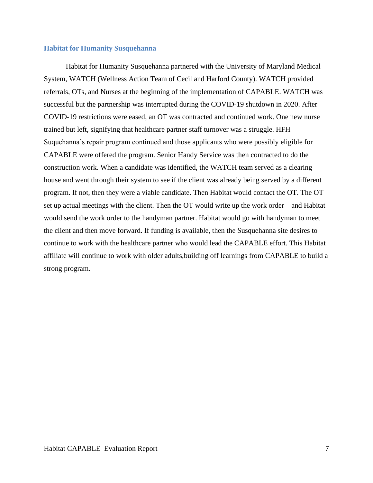#### **Habitat for Humanity Susquehanna**

Habitat for Humanity Susquehanna partnered with the University of Maryland Medical System, WATCH (Wellness Action Team of Cecil and Harford County). WATCH provided referrals, OTs, and Nurses at the beginning of the implementation of CAPABLE. WATCH was successful but the partnership was interrupted during the COVID-19 shutdown in 2020. After COVID-19 restrictions were eased, an OT was contracted and continued work. One new nurse trained but left, signifying that healthcare partner staff turnover was a struggle. HFH Suquehanna's repair program continued and those applicants who were possibly eligible for CAPABLE were offered the program. Senior Handy Service was then contracted to do the construction work. When a candidate was identified, the WATCH team served as a clearing house and went through their system to see if the client was already being served by a different program. If not, then they were a viable candidate. Then Habitat would contact the OT. The OT set up actual meetings with the client. Then the OT would write up the work order – and Habitat would send the work order to the handyman partner. Habitat would go with handyman to meet the client and then move forward. If funding is available, then the Susquehanna site desires to continue to work with the healthcare partner who would lead the CAPABLE effort. This Habitat affiliate will continue to work with older adults,building off learnings from CAPABLE to build a strong program.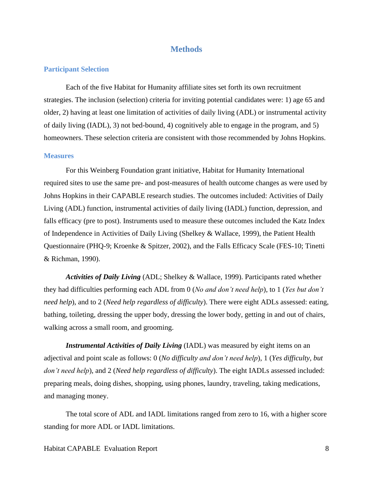# **Methods**

#### **Participant Selection**

Each of the five Habitat for Humanity affiliate sites set forth its own recruitment strategies. The inclusion (selection) criteria for inviting potential candidates were: 1) age 65 and older, 2) having at least one limitation of activities of daily living (ADL) or instrumental activity of daily living (IADL), 3) not bed-bound, 4) cognitively able to engage in the program, and 5) homeowners. These selection criteria are consistent with those recommended by Johns Hopkins.

#### **Measures**

For this Weinberg Foundation grant initiative, Habitat for Humanity International required sites to use the same pre- and post-measures of health outcome changes as were used by Johns Hopkins in their CAPABLE research studies. The outcomes included: Activities of Daily Living (ADL) function, instrumental activities of daily living (IADL) function, depression, and falls efficacy (pre to post). Instruments used to measure these outcomes included the Katz Index of Independence in Activities of Daily Living (Shelkey & Wallace, 1999), the Patient Health Questionnaire (PHQ-9; Kroenke & Spitzer, 2002), and the Falls Efficacy Scale (FES-10; Tinetti & Richman, 1990).

*Activities of Daily Living* (ADL; Shelkey & Wallace, 1999). Participants rated whether they had difficulties performing each ADL from 0 (*No and don't need help*), to 1 (*Yes but don't need help*), and to 2 (*Need help regardless of difficulty*). There were eight ADLs assessed: eating, bathing, toileting, dressing the upper body, dressing the lower body, getting in and out of chairs, walking across a small room, and grooming.

*Instrumental Activities of Daily Living* (IADL) was measured by eight items on an adjectival and point scale as follows: 0 (*No difficulty and don't need help*), 1 (*Yes difficulty, but don't need help*), and 2 (*Need help regardless of difficulty*). The eight IADLs assessed included: preparing meals, doing dishes, shopping, using phones, laundry, traveling, taking medications, and managing money.

The total score of ADL and IADL limitations ranged from zero to 16, with a higher score standing for more ADL or IADL limitations.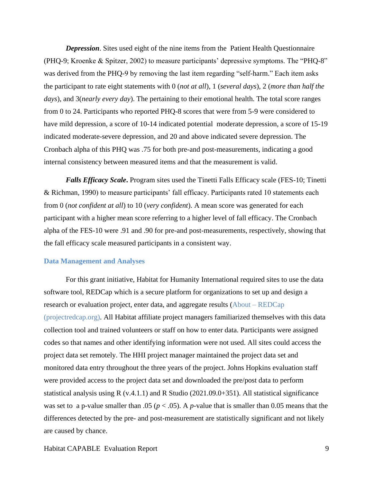*Depression*. Sites used eight of the nine items from the Patient Health Questionnaire (PHQ-9; Kroenke & Spitzer, 2002) to measure participants' depressive symptoms. The "PHQ-8" was derived from the PHQ-9 by removing the last item regarding "self-harm." Each item asks the participant to rate eight statements with 0 (*not at all*), 1 (*several days*), 2 (*more than half the days*), and 3(*nearly every day*). The pertaining to their emotional health. The total score ranges from 0 to 24. Participants who reported PHQ-8 scores that were from 5-9 were considered to have mild depression, a score of 10-14 indicated potential moderate depression, a score of 15-19 indicated moderate-severe depression, and 20 and above indicated severe depression. The Cronbach alpha of this PHQ was .75 for both pre-and post-measurements, indicating a good internal consistency between measured items and that the measurement is valid.

*Falls Efficacy Scale***.** Program sites used the Tinetti Falls Efficacy scale (FES-10; Tinetti & Richman, 1990) to measure participants' fall efficacy. Participants rated 10 statements each from 0 (*not confident at all*) to 10 (*very confident*). A mean score was generated for each participant with a higher mean score referring to a higher level of fall efficacy. The Cronbach alpha of the FES-10 were .91 and .90 for pre-and post-measurements, respectively, showing that the fall efficacy scale measured participants in a consistent way.

# **Data Management and Analyses**

For this grant initiative, Habitat for Humanity International required sites to use the data software tool, REDCap which is a secure platform for organizations to set up and design a research or evaluation project, enter data, and aggregate results (About – [REDCap](about:blank)  [\(projectredcap.org\).](about:blank) All Habitat affiliate project managers familiarized themselves with this data collection tool and trained volunteers or staff on how to enter data. Participants were assigned codes so that names and other identifying information were not used. All sites could access the project data set remotely. The HHI project manager maintained the project data set and monitored data entry throughout the three years of the project. Johns Hopkins evaluation staff were provided access to the project data set and downloaded the pre/post data to perform statistical analysis using R (v.4.1.1) and R Studio (2021.09.0+351). All statistical significance was set to a p-value smaller than .05 (*p* < .05). A *p-*value that is smaller than 0.05 means that the differences detected by the pre- and post-measurement are statistically significant and not likely are caused by chance.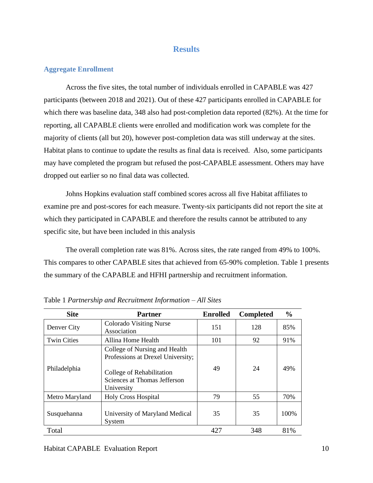# **Results**

# **Aggregate Enrollment**

Across the five sites, the total number of individuals enrolled in CAPABLE was 427 participants (between 2018 and 2021). Out of these 427 participants enrolled in CAPABLE for which there was baseline data, 348 also had post-completion data reported (82%). At the time for reporting, all CAPABLE clients were enrolled and modification work was complete for the majority of clients (all but 20), however post-completion data was still underway at the sites. Habitat plans to continue to update the results as final data is received. Also, some participants may have completed the program but refused the post-CAPABLE assessment. Others may have dropped out earlier so no final data was collected.

Johns Hopkins evaluation staff combined scores across all five Habitat affiliates to examine pre and post-scores for each measure. Twenty-six participants did not report the site at which they participated in CAPABLE and therefore the results cannot be attributed to any specific site, but have been included in this analysis

The overall completion rate was 81%. Across sites, the rate ranged from 49% to 100%. This compares to other CAPABLE sites that achieved from 65-90% completion. Table 1 presents the summary of the CAPABLE and HFHI partnership and recruitment information.

| <b>Site</b>        | <b>Partner</b>                                                                                                                                | <b>Enrolled</b> | <b>Completed</b> | $\frac{6}{9}$ |
|--------------------|-----------------------------------------------------------------------------------------------------------------------------------------------|-----------------|------------------|---------------|
| Denver City        | <b>Colorado Visiting Nurse</b><br>Association                                                                                                 | 151             | 128              | 85%           |
| <b>Twin Cities</b> | Allina Home Health                                                                                                                            | 101             | 92               | 91%           |
| Philadelphia       | College of Nursing and Health<br>Professions at Drexel University;<br>College of Rehabilitation<br>Sciences at Thomas Jefferson<br>University | 49              | 24               | 49%           |
| Metro Maryland     | <b>Holy Cross Hospital</b>                                                                                                                    | 79              | 55               | 70%           |
| Susquehanna        | University of Maryland Medical<br>System                                                                                                      | 35              | 35               | 100%          |
| Total              |                                                                                                                                               | 427             | 348              | 81%           |

Table 1 *Partnership and Recruitment Information – All Sites*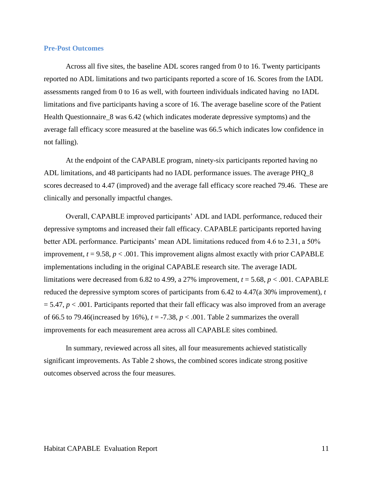#### **Pre-Post Outcomes**

Across all five sites, the baseline ADL scores ranged from 0 to 16. Twenty participants reported no ADL limitations and two participants reported a score of 16. Scores from the IADL assessments ranged from 0 to 16 as well, with fourteen individuals indicated having no IADL limitations and five participants having a score of 16. The average baseline score of the Patient Health Questionnaire\_8 was 6.42 (which indicates moderate depressive symptoms) and the average fall efficacy score measured at the baseline was 66.5 which indicates low confidence in not falling).

At the endpoint of the CAPABLE program, ninety-six participants reported having no ADL limitations, and 48 participants had no IADL performance issues. The average PHQ\_8 scores decreased to 4.47 (improved) and the average fall efficacy score reached 79.46. These are clinically and personally impactful changes.

Overall, CAPABLE improved participants' ADL and IADL performance, reduced their depressive symptoms and increased their fall efficacy. CAPABLE participants reported having better ADL performance. Participants' mean ADL limitations reduced from 4.6 to 2.31, a 50% improvement,  $t = 9.58$ ,  $p < .001$ . This improvement aligns almost exactly with prior CAPABLE implementations including in the original CAPABLE research site. The average IADL limitations were decreased from 6.82 to 4.99, a 27% improvement, *t* = 5.68, *p* < .001. CAPABLE reduced the depressive symptom scores of participants from 6.42 to 4.47(a 30% improvement), *t*  $= 5.47, p < .001$ . Participants reported that their fall efficacy was also improved from an average of 66.5 to 79.46(increased by 16%),  $t = -7.38$ ,  $p < .001$ . Table 2 summarizes the overall improvements for each measurement area across all CAPABLE sites combined.

In summary, reviewed across all sites, all four measurements achieved statistically significant improvements. As Table 2 shows, the combined scores indicate strong positive outcomes observed across the four measures.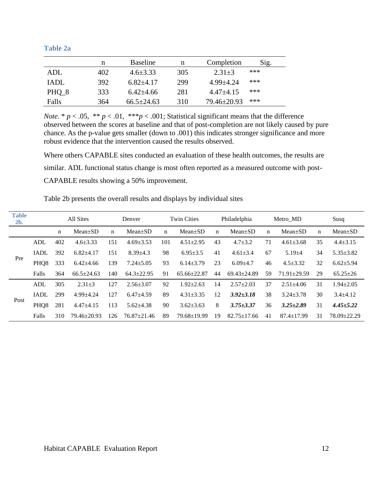**Table 2a**

|       | n   | Baseline         | n   | Completion    | Sig. |
|-------|-----|------------------|-----|---------------|------|
| ADL   | 402 | $4.6 + 3.33$     | 305 | $2.31 + 3$    | ***  |
| IADL  | 392 | $6.82 + 4.17$    | 299 | $4.99 + 4.24$ | ***  |
| PHQ 8 | 333 | $6.42 + 4.66$    | 281 | $4.47\pm4.15$ | ***  |
| Falls | 364 | $66.5 \pm 24.63$ | 310 | 79.46±20.93   | ***  |

*Note.* \*  $p < .05$ , \*\*  $p < .01$ , \*\*\*  $p < .001$ ; Statistical significant means that the difference observed between the scores at baseline and that of post-completion are not likely caused by pure chance. As the p-value gets smaller (down to .001) this indicates stronger significance and more robust evidence that the intervention caused the results observed.

Where others CAPABLE sites conducted an evaluation of these health outcomes, the results are similar. ADL functional status change is most often reported as a measured outcome with post-CAPABLE results showing a 50% improvement.

| <b>Table</b><br>$2b$ . |                  |             | All Sites         |             | Denver            |     | <b>Twin Cities</b> |             | Philadelphia      |             | Metro MD          |             | Susq            |
|------------------------|------------------|-------------|-------------------|-------------|-------------------|-----|--------------------|-------------|-------------------|-------------|-------------------|-------------|-----------------|
|                        |                  | $\mathbf n$ | $Mean+SD$         | $\mathbf n$ | $Mean+SD$         | n   | $Mean+SD$          | $\mathbf n$ | $Mean \pm SD$     | $\mathbf n$ | $Mean+SD$         | $\mathbf n$ | $Mean \pm SD$   |
|                        | <b>ADL</b>       | 402         | $4.6 + 3.33$      | 151         | $4.69 + 3.53$     | 101 | $4.51 \pm 2.95$    | 43          | $4.7 + 3.2$       | 71          | $4.61 \pm 3.68$   | 35          | $4.4 \pm 3.15$  |
|                        | <b>IADL</b>      | 392         | $6.82 + 4.17$     | 151         | $8.39 + 4.3$      | 98  | $6.95 \pm 3.5$     | 41          | $4.61 + 3.4$      | 67          | $5.19 + 4$        | 34          | $5.35 \pm 3.82$ |
| Pre                    | PHQ <sub>8</sub> | 333         | $6.42{\pm}4.66$   | 139         | $7.24 \pm 5.05$   | 93  | $6.14 + 3.79$      | 23          | $6.09 + 4.7$      | 46          | $4.5 + 3.32$      | 32          | $6.62{\pm}5.94$ |
|                        | Falls            | 364         | $66.5 + 24.63$    | 140         | $64.3 + 22.95$    | 91  | $65.66 \pm 22.87$  | 44          | $69.43 + 24.89$   | 59          | $71.91 \pm 29.59$ | 29          | $65.25 \pm 26$  |
|                        | <b>ADL</b>       | 305         | $2.31 + 3$        | 127         | $2.56 + 3.07$     | 92  | $1.92 + 2.63$      | 14          | $2.57 + 2.03$     | 37          | $2.51 + 4.06$     | 31          | $1.94 + 2.05$   |
|                        | <b>IADL</b>      | 299         | $4.99 + 4.24$     | 127         | $6.47 + 4.59$     | 89  | $4.31 + 3.35$      | 12          | $3.92 \pm 3.18$   | 38          | $3.24 + 3.78$     | 30          | $3.4 + 4.12$    |
| Post                   | PHQ8             | 281         | $4.47 + 4.15$     | 113         | $5.62{\pm}4.38$   | 90  | $3.62 + 3.63$      | 8           | $3.75 \pm 3.37$   | 36          | $3.25 \pm 2.89$   | 31          | $4.45 \pm 5.22$ |
|                        | Falls            | 310         | $79.46 \pm 20.93$ | 126         | $76.87 \pm 21.46$ | 89  | $79.68 \pm 19.99$  | 19          | $82.75 \pm 17.66$ | 41          | $87.4 \pm 17.99$  | 31          | $78.09 + 22.29$ |

Table 2b presents the overall results and displays by individual sites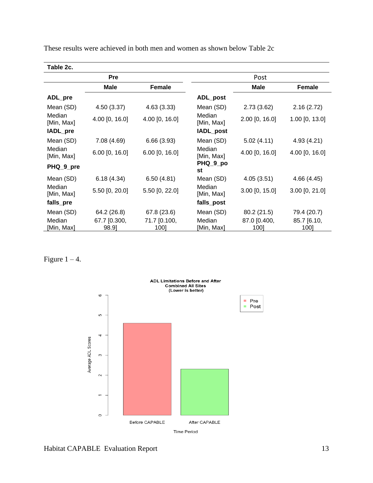| Table 2c.            |                       |                      |                      |                      |                     |
|----------------------|-----------------------|----------------------|----------------------|----------------------|---------------------|
|                      | Pre                   |                      |                      | Post                 |                     |
|                      | <b>Male</b>           | <b>Female</b>        |                      | Male                 | <b>Female</b>       |
| ADL_pre              |                       |                      | ADL_post             |                      |                     |
| Mean (SD)            | 4.50(3.37)            | 4.63(3.33)           | Mean (SD)            | 2.73(3.62)           | 2.16(2.72)          |
| Median<br>[Min, Max] | 4.00 [0, 16.0]        | 4.00 [0, 16.0]       | Median<br>[Min, Max] | $2.00$ [0, 16.0]     | 1.00 [0, 13.0]      |
| IADL_pre             |                       |                      | IADL_post            |                      |                     |
| Mean (SD)            | 7.08 (4.69)           | 6.66(3.93)           | Mean (SD)            | 5.02(4.11)           | 4.93 (4.21)         |
| Median<br>[Min, Max] | $6.00$ [0, 16.0]      | $6.00$ [0, 16.0]     | Median<br>[Min, Max] | 4.00 [0, 16.0]       | 4.00 [0, 16.0]      |
| PHQ_9_pre            |                       |                      | PHQ_9_po<br>st       |                      |                     |
| Mean (SD)            | 6.18(4.34)            | 6.50(4.81)           | Mean (SD)            | 4.05(3.51)           | 4.66(4.45)          |
| Median<br>[Min, Max] | 5.50 [0, 20.0]        | 5.50 [0, 22.0]       | Median<br>[Min, Max] | $3.00$ [0, 15.0]     | $3.00$ [0, 21.0]    |
| falls_pre            |                       |                      | falls_post           |                      |                     |
| Mean (SD)            | 64.2 (26.8)           | 67.8 (23.6)          | Mean (SD)            | 80.2 (21.5)          | 79.4 (20.7)         |
| Median<br>[Min, Max] | 67.7 [0.300,<br>98.9] | 71.7 [0.100,<br>100] | Median<br>[Min, Max] | 87.0 [0.400,<br>100] | 85.7 [6.10,<br>100] |

These results were achieved in both men and women as shown below Table 2c

Figure  $1 - 4$ .

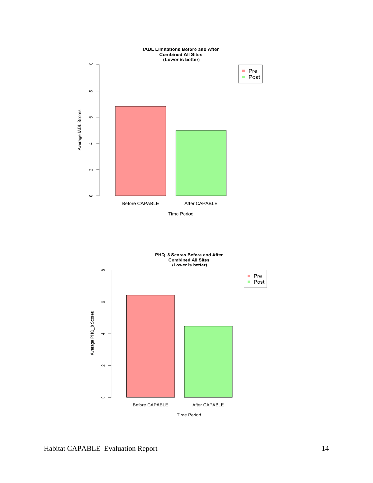

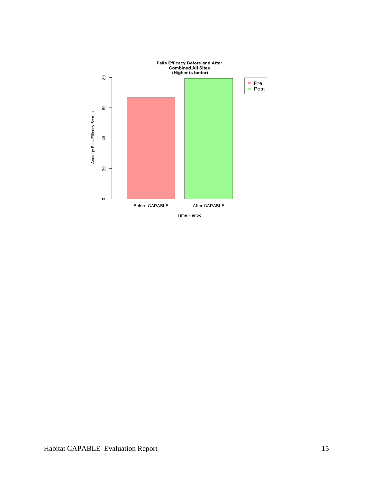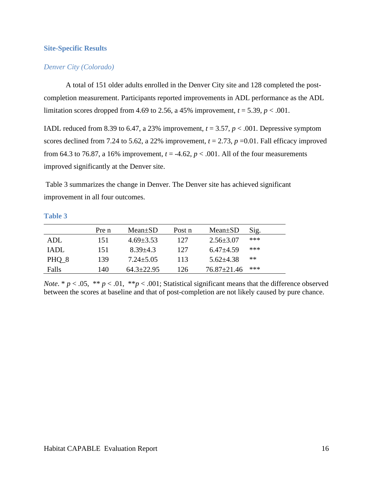# **Site-Specific Results**

# *Denver City (Colorado)*

A total of 151 older adults enrolled in the Denver City site and 128 completed the postcompletion measurement. Participants reported improvements in ADL performance as the ADL limitation scores dropped from 4.69 to 2.56, a 45% improvement,  $t = 5.39$ ,  $p < .001$ .

IADL reduced from 8.39 to 6.47, a 23% improvement,  $t = 3.57$ ,  $p < .001$ . Depressive symptom scores declined from 7.24 to 5.62, a 22% improvement,  $t = 2.73$ ,  $p = 0.01$ . Fall efficacy improved from 64.3 to 76.87, a 16% improvement,  $t = -4.62$ ,  $p < .001$ . All of the four measurements improved significantly at the Denver site.

Table 3 summarizes the change in Denver. The Denver site has achieved significant improvement in all four outcomes.

#### **Table 3**

|       | Pre n | Mean $\pm$ SD    | Post n | $Mean \pm SD$   | Sig. |
|-------|-------|------------------|--------|-----------------|------|
| ADL   | 151   | $4.69 \pm 3.53$  | 127    | $2.56 \pm 3.07$ | ***  |
| IADL. | 151   | $8.39 + 4.3$     | 127    | $6.47+4.59$     | ***  |
| PHQ 8 | 139   | $7.24 \pm 5.05$  | 113    | $5.62 + 4.38$   | **   |
| Falls | 140   | $64.3 \pm 22.95$ | 126    | 76.87±21.46     | ***  |

*Note*. \*  $p < .05$ , \*\*  $p < .01$ , \*\* $p < .001$ ; Statistical significant means that the difference observed between the scores at baseline and that of post-completion are not likely caused by pure chance.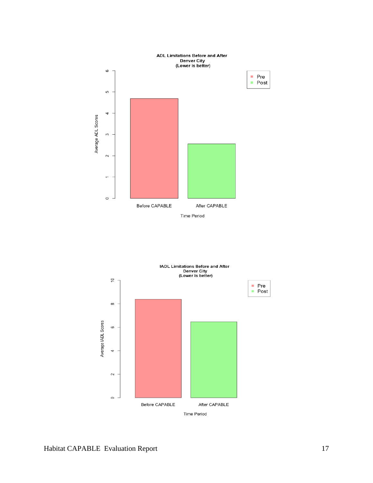

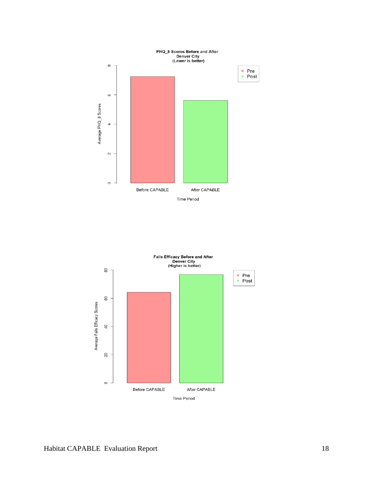

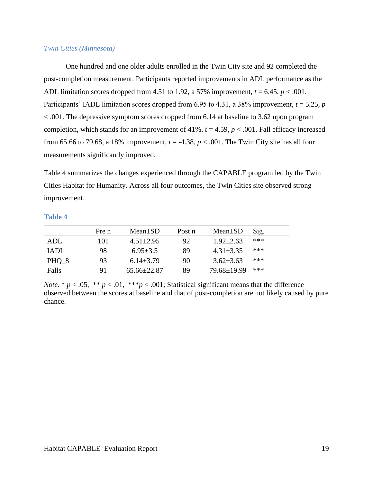## *Twin Cities (Minnesota)*

One hundred and one older adults enrolled in the Twin City site and 92 completed the post-completion measurement. Participants reported improvements in ADL performance as the ADL limitation scores dropped from 4.51 to 1.92, a 57% improvement,  $t = 6.45$ ,  $p < .001$ . Participants' IADL limitation scores dropped from 6.95 to 4.31, a 38% improvement,  $t = 5.25$ , *p* < .001. The depressive symptom scores dropped from 6.14 at baseline to 3.62 upon program completion, which stands for an improvement of 41%,  $t = 4.59$ ,  $p < .001$ . Fall efficacy increased from 65.66 to 79.68, a 18% improvement,  $t = -4.38$ ,  $p < .001$ . The Twin City site has all four measurements significantly improved.

Table 4 summarizes the changes experienced through the CAPABLE program led by the Twin Cities Habitat for Humanity. Across all four outcomes, the Twin Cities site observed strong improvement.

#### **Table 4**

|       | Pre n | $Mean \pm SD$     | Post n | $Mean \pm SD$   | Sig. |
|-------|-------|-------------------|--------|-----------------|------|
| ADL   | 101   | $4.51 \pm 2.95$   | 92     | $1.92 \pm 2.63$ | ***  |
| IADL  | 98    | $6.95 \pm 3.5$    | 89     | $4.31 \pm 3.35$ | ***  |
| PHQ 8 | 93    | $6.14\pm3.79$     | 90     | $3.62 \pm 3.63$ | ***  |
| Falls | 91    | $65.66 \pm 22.87$ | 89     | 79.68±19.99     | ***  |

*Note*. \*  $p < .05$ , \*\*  $p < .01$ , \*\*\* $p < .001$ ; Statistical significant means that the difference observed between the scores at baseline and that of post-completion are not likely caused by pure chance.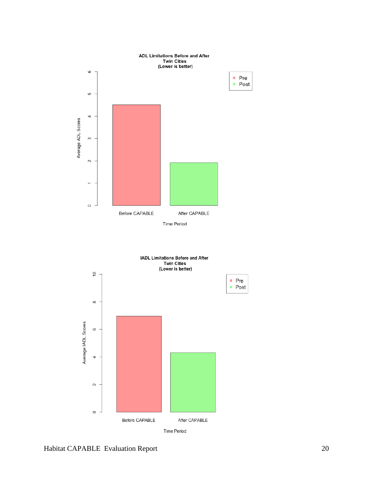

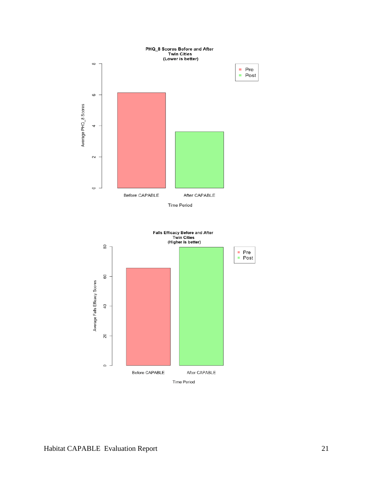

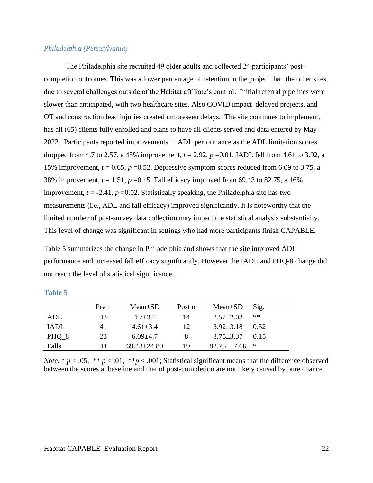#### *Philadelphia (Pennsylvania)*

The Philadelphia site recruited 49 older adults and collected 24 participants' postcompletion outcomes. This was a lower percentage of retention in the project than the other sites, due to several challenges outside of the Habitat affiliate's control. Initial referral pipelines were slower than anticipated, with two healthcare sites. Also COVID impact delayed projects, and OT and construction lead injuries created unforeseen delays. The site continues to implement, has all (65) clients fully enrolled and plans to have all clients served and data entered by May 2022. Participants reported improvements in ADL performance as the ADL limitation scores dropped from 4.7 to 2.57, a 45% improvement,  $t = 2.92$ ,  $p = 0.01$ . IADL fell from 4.61 to 3.92, a 15% improvement,  $t = 0.65$ ,  $p = 0.52$ . Depressive symptom scores reduced from 6.09 to 3.75, a 38% improvement, *t* = 1.51, *p* =0.15. Fall efficacy improved from 69.43 to 82.75, a 16% improvement,  $t = -2.41$ ,  $p = 0.02$ . Statistically speaking, the Philadelphia site has two measurements (i.e., ADL and fall efficacy) improved significantly. It is noteworthy that the limited number of post-survey data collection may impact the statistical analysis substantially. This level of change was significant in settings who had more participants finish CAPABLE.

Table 5 summarizes the change in Philadelphia and shows that the site improved ADL performance and increased fall efficacy significantly. However the IADL and PHQ-8 change did not reach the level of statistical significance..

|       | Pre n | $Mean \pm SD$     | Post n | $Mean \pm SD$     | Sig. |  |
|-------|-------|-------------------|--------|-------------------|------|--|
| ADL   | 43    | $4.7 + 3.2$       | 14     | $2.57 \pm 2.03$   | **   |  |
| IADL  | 41    | $4.61 \pm 3.4$    | 12     | $3.92 \pm 3.18$   | 0.52 |  |
| PHQ 8 | 23    | $6.09{\pm}4.7$    |        | $3.75 \pm 3.37$   | 0.15 |  |
| Falls | 44    | $69.43 \pm 24.89$ | 19     | $82.75 \pm 17.66$ | — *  |  |

| ۰, | u. |  |
|----|----|--|

*Note*. \*  $p < .05$ , \*\*  $p < .01$ , \*\* $p < .001$ ; Statistical significant means that the difference observed between the scores at baseline and that of post-completion are not likely caused by pure chance.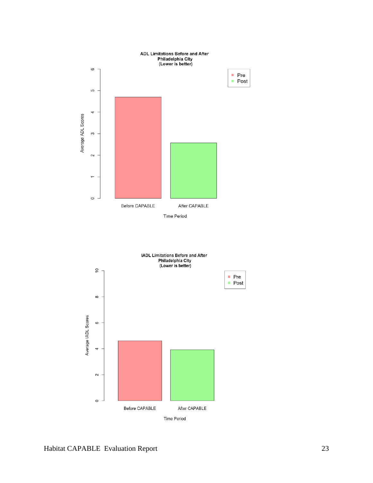

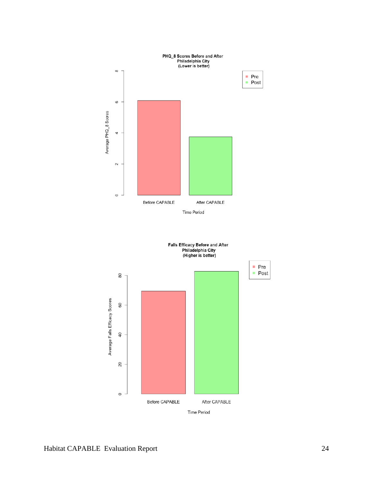

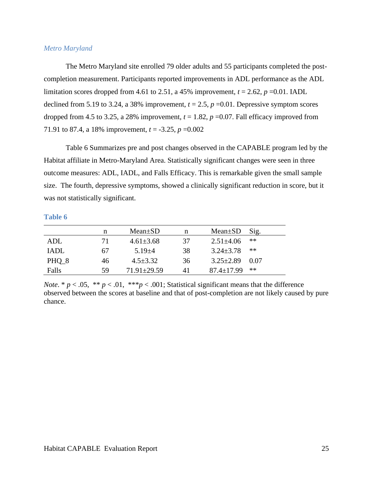### *Metro Maryland*

The Metro Maryland site enrolled 79 older adults and 55 participants completed the postcompletion measurement. Participants reported improvements in ADL performance as the ADL limitation scores dropped from 4.61 to 2.51, a 45% improvement,  $t = 2.62$ ,  $p = 0.01$ . IADL declined from 5.19 to 3.24, a 38% improvement,  $t = 2.5$ ,  $p = 0.01$ . Depressive symptom scores dropped from 4.5 to 3.25, a 28% improvement,  $t = 1.82$ ,  $p = 0.07$ . Fall efficacy improved from 71.91 to 87.4, a 18% improvement,  $t = -3.25$ ,  $p = 0.002$ 

Table 6 Summarizes pre and post changes observed in the CAPABLE program led by the Habitat affiliate in Metro-Maryland Area. Statistically significant changes were seen in three outcome measures: ADL, IADL, and Falls Efficacy. This is remarkable given the small sample size. The fourth, depressive symptoms, showed a clinically significant reduction in score, but it was not statistically significant.

#### **Table 6**

|         | n  | $Mean \pm SD$     | n  | $Mean \pm SD$    | Sig.       |
|---------|----|-------------------|----|------------------|------------|
| ADL     | 71 | $4.61 \pm 3.68$   | 37 | $2.51 \pm 4.06$  | **         |
| IADL    | 67 | $5.19 + 4$        | 38 | $3.24 \pm 3.78$  | $\ast\ast$ |
| $PHQ_8$ | 46 | $4.5 \pm 3.32$    | 36 | $3.25 \pm 2.89$  | 0.07       |
| Falls   | 59 | $71.91 \pm 29.59$ | 41 | $87.4 \pm 17.99$ | **         |

*Note*. \*  $p < .05$ , \*\*  $p < .01$ , \*\*\* $p < .001$ ; Statistical significant means that the difference observed between the scores at baseline and that of post-completion are not likely caused by pure chance.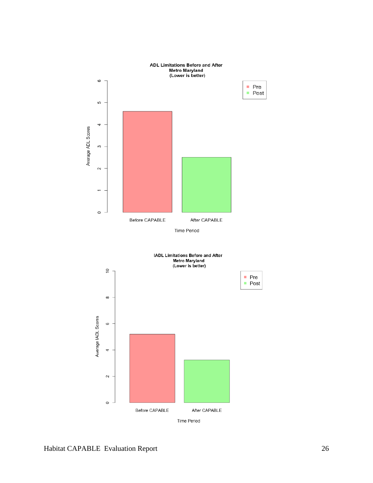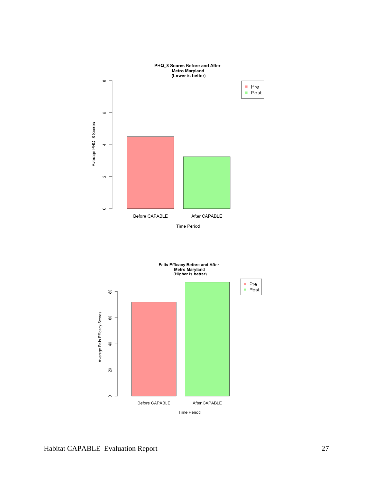

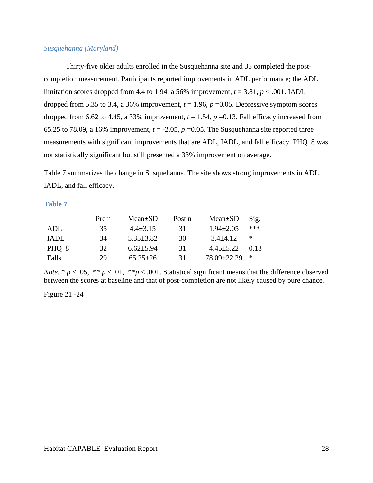# *Susquehanna (Maryland)*

Thirty-five older adults enrolled in the Susquehanna site and 35 completed the postcompletion measurement. Participants reported improvements in ADL performance; the ADL limitation scores dropped from 4.4 to 1.94, a 56% improvement,  $t = 3.81$ ,  $p < .001$ . IADL dropped from 5.35 to 3.4, a 36% improvement,  $t = 1.96$ ,  $p = 0.05$ . Depressive symptom scores dropped from 6.62 to 4.45, a 33% improvement,  $t = 1.54$ ,  $p = 0.13$ . Fall efficacy increased from 65.25 to 78.09, a 16% improvement,  $t = -2.05$ ,  $p = 0.05$ . The Susquehanna site reported three measurements with significant improvements that are ADL, IADL, and fall efficacy. PHQ\_8 was not statistically significant but still presented a 33% improvement on average.

Table 7 summarizes the change in Susquehanna. The site shows strong improvements in ADL, IADL, and fall efficacy.

### **Table 7**

|       | Pre n | $Mean \pm SD$   | Post n | $Mean \pm SD$     | Sig. |
|-------|-------|-----------------|--------|-------------------|------|
| ADL   | 35    | $4.4 \pm 3.15$  | 31     | $1.94 \pm 2.05$   | ***  |
| IADL  | 34    | $5.35 + 3.82$   | 30     | $3.4 + 4.12$      | ∗    |
| PHQ 8 | 32    | $6.62 \pm 5.94$ | 31     | $4.45 \pm 5.22$   | 0.13 |
| Falls | 29    | $65.25 \pm 26$  | 31     | $78.09 \pm 22.29$ | ∗    |

*Note*. \*  $p < .05$ , \*\*  $p < .01$ , \*\* $p < .001$ . Statistical significant means that the difference observed between the scores at baseline and that of post-completion are not likely caused by pure chance.

Figure 21 -24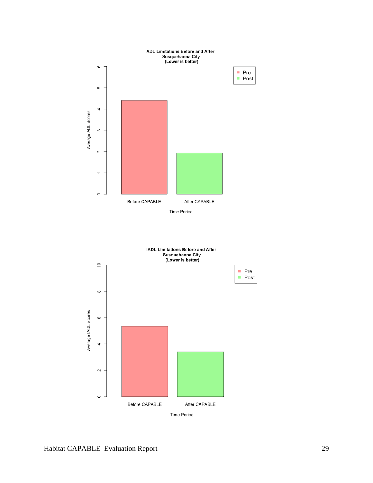

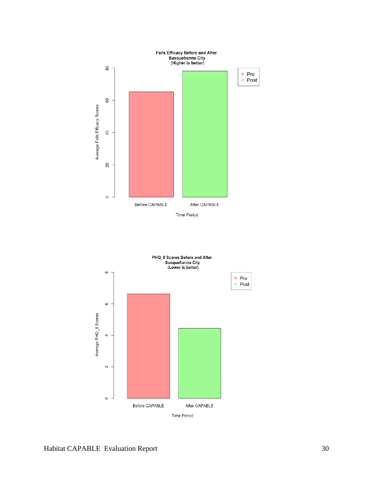

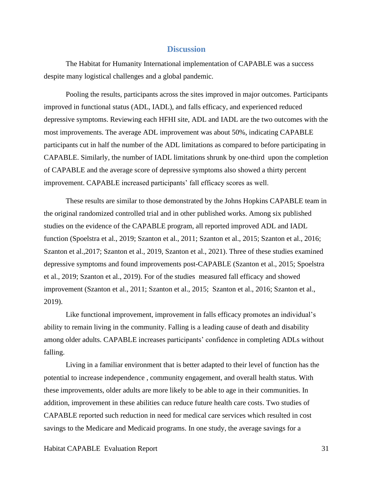### **Discussion**

The Habitat for Humanity International implementation of CAPABLE was a success despite many logistical challenges and a global pandemic.

Pooling the results, participants across the sites improved in major outcomes. Participants improved in functional status (ADL, IADL), and falls efficacy, and experienced reduced depressive symptoms. Reviewing each HFHI site, ADL and IADL are the two outcomes with the most improvements. The average ADL improvement was about 50%, indicating CAPABLE participants cut in half the number of the ADL limitations as compared to before participating in CAPABLE. Similarly, the number of IADL limitations shrunk by one-third upon the completion of CAPABLE and the average score of depressive symptoms also showed a thirty percent improvement. CAPABLE increased participants' fall efficacy scores as well.

These results are similar to those demonstrated by the Johns Hopkins CAPABLE team in the original randomized controlled trial and in other published works. Among six published studies on the evidence of the CAPABLE program, all reported improved ADL and IADL function (Spoelstra et al., 2019; Szanton et al., 2011; Szanton et al., 2015; Szanton et al., 2016; Szanton et al.,2017; Szanton et al., 2019, Szanton et al., 2021). Three of these studies examined depressive symptoms and found improvements post-CAPABLE (Szanton et al., 2015; Spoelstra et al., 2019; Szanton et al., 2019). For of the studies measured fall efficacy and showed improvement (Szanton et al., 2011; Szanton et al., 2015; Szanton et al., 2016; Szanton et al., 2019).

Like functional improvement, improvement in falls efficacy promotes an individual's ability to remain living in the community. Falling is a leading cause of death and disability among older adults. CAPABLE increases participants' confidence in completing ADLs without falling.

Living in a familiar environment that is better adapted to their level of function has the potential to increase independence , community engagement, and overall health status. With these improvements, older adults are more likely to be able to age in their communities. In addition, improvement in these abilities can reduce future health care costs. Two studies of CAPABLE reported such reduction in need for medical care services which resulted in cost savings to the Medicare and Medicaid programs. In one study, the average savings for a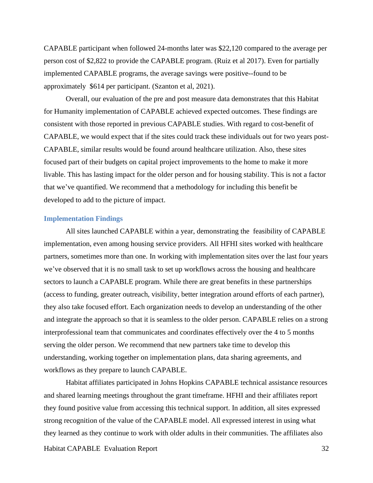CAPABLE participant when followed 24-months later was \$22,120 compared to the average per person cost of \$2,822 to provide the CAPABLE program. (Ruiz et al 2017). Even for partially implemented CAPABLE programs, the average savings were positive--found to be approximately \$614 per participant. (Szanton et al, 2021).

Overall, our evaluation of the pre and post measure data demonstrates that this Habitat for Humanity implementation of CAPABLE achieved expected outcomes. These findings are consistent with those reported in previous CAPABLE studies. With regard to cost-benefit of CAPABLE, we would expect that if the sites could track these individuals out for two years post-CAPABLE, similar results would be found around healthcare utilization. Also, these sites focused part of their budgets on capital project improvements to the home to make it more livable. This has lasting impact for the older person and for housing stability. This is not a factor that we've quantified. We recommend that a methodology for including this benefit be developed to add to the picture of impact.

#### **Implementation Findings**

All sites launched CAPABLE within a year, demonstrating the feasibility of CAPABLE implementation, even among housing service providers. All HFHI sites worked with healthcare partners, sometimes more than one. In working with implementation sites over the last four years we've observed that it is no small task to set up workflows across the housing and healthcare sectors to launch a CAPABLE program. While there are great benefits in these partnerships (access to funding, greater outreach, visibility, better integration around efforts of each partner), they also take focused effort. Each organization needs to develop an understanding of the other and integrate the approach so that it is seamless to the older person. CAPABLE relies on a strong interprofessional team that communicates and coordinates effectively over the 4 to 5 months serving the older person. We recommend that new partners take time to develop this understanding, working together on implementation plans, data sharing agreements, and workflows as they prepare to launch CAPABLE.

Habitat affiliates participated in Johns Hopkins CAPABLE technical assistance resources and shared learning meetings throughout the grant timeframe. HFHI and their affiliates report they found positive value from accessing this technical support. In addition, all sites expressed strong recognition of the value of the CAPABLE model. All expressed interest in using what they learned as they continue to work with older adults in their communities. The affiliates also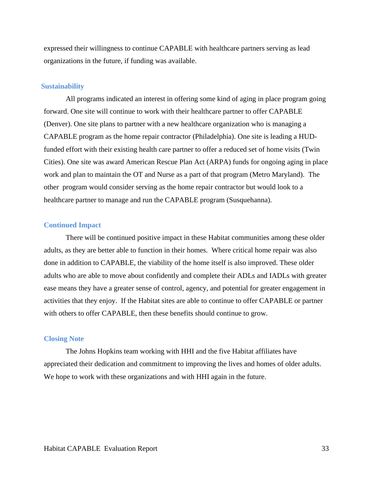expressed their willingness to continue CAPABLE with healthcare partners serving as lead organizations in the future, if funding was available.

#### **Sustainability**

All programs indicated an interest in offering some kind of aging in place program going forward. One site will continue to work with their healthcare partner to offer CAPABLE (Denver). One site plans to partner with a new healthcare organization who is managing a CAPABLE program as the home repair contractor (Philadelphia). One site is leading a HUDfunded effort with their existing health care partner to offer a reduced set of home visits (Twin Cities). One site was award American Rescue Plan Act (ARPA) funds for ongoing aging in place work and plan to maintain the OT and Nurse as a part of that program (Metro Maryland). The other program would consider serving as the home repair contractor but would look to a healthcare partner to manage and run the CAPABLE program (Susquehanna).

#### **Continued Impact**

There will be continued positive impact in these Habitat communities among these older adults, as they are better able to function in their homes. Where critical home repair was also done in addition to CAPABLE, the viability of the home itself is also improved. These older adults who are able to move about confidently and complete their ADLs and IADLs with greater ease means they have a greater sense of control, agency, and potential for greater engagement in activities that they enjoy. If the Habitat sites are able to continue to offer CAPABLE or partner with others to offer CAPABLE, then these benefits should continue to grow.

## **Closing Note**

The Johns Hopkins team working with HHI and the five Habitat affiliates have appreciated their dedication and commitment to improving the lives and homes of older adults. We hope to work with these organizations and with HHI again in the future.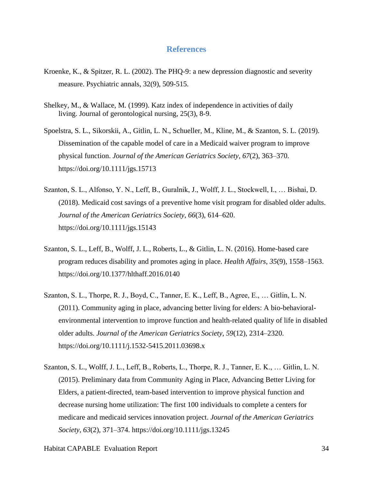# **References**

- Kroenke, K., & Spitzer, R. L. (2002). The PHQ-9: a new depression diagnostic and severity measure. Psychiatric annals, 32(9), 509-515.
- Shelkey, M., & Wallace, M. (1999). Katz index of independence in activities of daily living. Journal of gerontological nursing, 25(3), 8-9.
- Spoelstra, S. L., Sikorskii, A., Gitlin, L. N., Schueller, M., Kline, M., & Szanton, S. L. (2019). Dissemination of the capable model of care in a Medicaid waiver program to improve physical function. *Journal of the American Geriatrics Society*, *67*(2), 363–370. https://doi.org/10.1111/jgs.15713
- Szanton, S. L., Alfonso, Y. N., Leff, B., Guralnik, J., Wolff, J. L., Stockwell, I., … Bishai, D. (2018). Medicaid cost savings of a preventive home visit program for disabled older adults. *Journal of the American Geriatrics Society*, *66*(3), 614–620. https://doi.org/10.1111/jgs.15143
- Szanton, S. L., Leff, B., Wolff, J. L., Roberts, L., & Gitlin, L. N. (2016). Home-based care program reduces disability and promotes aging in place. *Health Affairs*, *35*(9), 1558–1563. https://doi.org/10.1377/hlthaff.2016.0140
- Szanton, S. L., Thorpe, R. J., Boyd, C., Tanner, E. K., Leff, B., Agree, E., … Gitlin, L. N. (2011). Community aging in place, advancing better living for elders: A bio-behavioralenvironmental intervention to improve function and health-related quality of life in disabled older adults. *Journal of the American Geriatrics Society*, *59*(12), 2314–2320. https://doi.org/10.1111/j.1532-5415.2011.03698.x
- Szanton, S. L., Wolff, J. L., Leff, B., Roberts, L., Thorpe, R. J., Tanner, E. K., … Gitlin, L. N. (2015). Preliminary data from Community Aging in Place, Advancing Better Living for Elders, a patient-directed, team-based intervention to improve physical function and decrease nursing home utilization: The first 100 individuals to complete a centers for medicare and medicaid services innovation project. *Journal of the American Geriatrics Society*, *63*(2), 371–374. https://doi.org/10.1111/jgs.13245